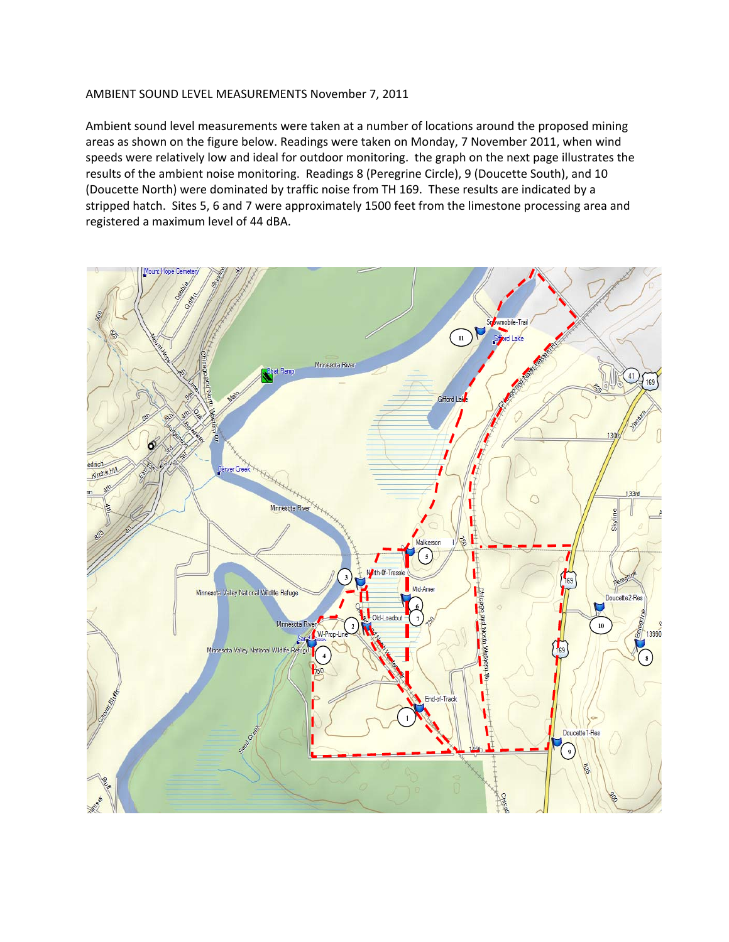## AMBIENT SOUND LEVEL MEASUREMENTS November 7, 2011

Ambient sound level measurements were taken at a number of locations around the proposed mining areas as shown on the figure below. Readings were taken on Monday, 7 November 2011, when wind speeds were relatively low and ideal for outdoor monitoring. the graph on the next page illustrates the results of the ambient noise monitoring. Readings 8 (Peregrine Circle), 9 (Doucette South), and 10 (Doucette North) were dominated by traffic noise from TH 169. These results are indicated by a stripped hatch. Sites 5, 6 and 7 were approximately 1500 feet from the limestone processing area and registered a maximum level of 44 dBA.

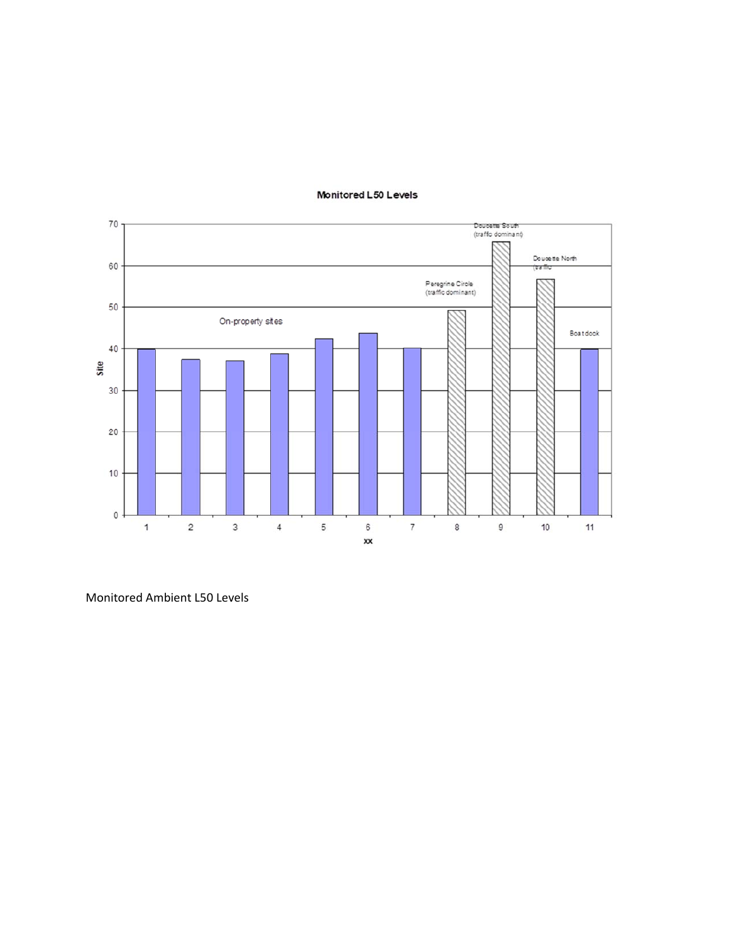

## Monitored L50 Levels

Monitored Ambient L50 Levels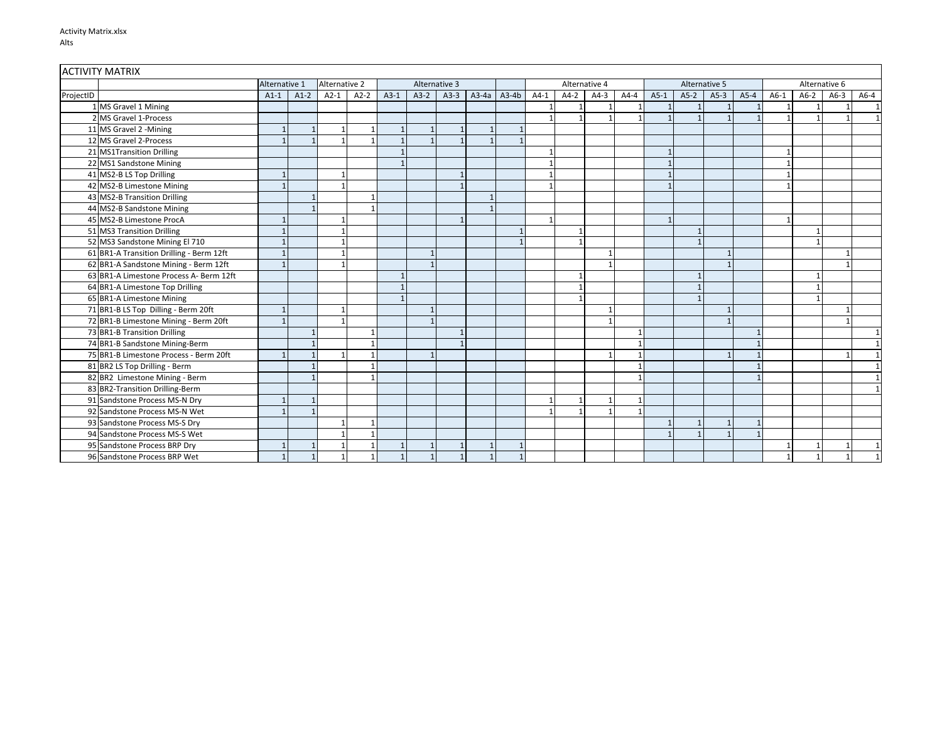| <b>ACTIVITY MATRIX</b> |                                          |               |        |               |        |              |                                |              |         |         |               |        |        |        |        |               |        |        |        |        |        |        |
|------------------------|------------------------------------------|---------------|--------|---------------|--------|--------------|--------------------------------|--------------|---------|---------|---------------|--------|--------|--------|--------|---------------|--------|--------|--------|--------|--------|--------|
|                        |                                          | Alternative 1 |        | Alternative 2 |        |              | Alternative 3<br>Alternative 4 |              |         |         | Alternative 5 |        |        |        |        | Alternative 6 |        |        |        |        |        |        |
| ProjectID              |                                          | $A1-1$        | $A1-2$ | $A2-1$        | $A2-2$ | $A3-1$       | $A3-2$                         | $A3-3$       | $A3-4a$ | $A3-4b$ | $A4-1$        | $A4-2$ | $A4-3$ | $A4-4$ | $A5-1$ | $A5-2$        | $A5-3$ | $A5-4$ | $A6-1$ | $A6-2$ | $A6-3$ | $A6-4$ |
|                        | 1 MS Gravel 1 Mining                     |               |        |               |        |              |                                |              |         |         |               |        |        |        |        |               |        |        |        |        |        |        |
|                        | 2 MS Gravel 1-Process                    |               |        |               |        |              |                                |              |         |         |               | ×,     |        |        |        |               |        |        |        |        |        |        |
|                        | 11 MS Gravel 2 - Mining                  |               |        |               |        |              |                                | $\mathbf{1}$ |         |         |               |        |        |        |        |               |        |        |        |        |        |        |
|                        | 12 MS Gravel 2-Process                   |               |        |               |        |              |                                |              |         |         |               |        |        |        |        |               |        |        |        |        |        |        |
|                        | 21 MS1Transition Drilling                |               |        |               |        |              |                                |              |         |         |               |        |        |        |        |               |        |        |        |        |        |        |
|                        | 22 MS1 Sandstone Mining                  |               |        |               |        |              |                                |              |         |         |               |        |        |        |        |               |        |        |        |        |        |        |
|                        | 41 MS2-B LS Top Drilling                 |               |        |               |        |              |                                |              |         |         |               |        |        |        |        |               |        |        |        |        |        |        |
|                        | 42 MS2-B Limestone Mining                |               |        |               |        |              |                                |              |         |         |               |        |        |        |        |               |        |        |        |        |        |        |
|                        | 43 MS2-B Transition Drilling             |               |        |               |        |              |                                |              |         |         |               |        |        |        |        |               |        |        |        |        |        |        |
|                        | 44 MS2-B Sandstone Mining                |               |        |               |        |              |                                |              |         |         |               |        |        |        |        |               |        |        |        |        |        |        |
|                        | 45 MS2-B Limestone ProcA                 |               |        |               |        |              |                                |              |         |         |               |        |        |        |        |               |        |        |        |        |        |        |
|                        | 51 MS3 Transition Drilling               |               |        |               |        |              |                                |              |         |         |               |        |        |        |        |               |        |        |        |        |        |        |
|                        | 52 MS3 Sandstone Mining El 710           |               |        |               |        |              |                                |              |         |         |               |        |        |        |        |               |        |        |        |        |        |        |
|                        | 61 BR1-A Transition Drilling - Berm 12ft |               |        |               |        |              |                                |              |         |         |               |        |        |        |        |               |        |        |        |        |        |        |
|                        | 62 BR1-A Sandstone Mining - Berm 12ft    |               |        |               |        |              |                                |              |         |         |               |        |        |        |        |               |        |        |        |        |        |        |
|                        | 63 BR1-A Limestone Process A- Berm 12ft  |               |        |               |        |              |                                |              |         |         |               |        |        |        |        |               |        |        |        |        |        |        |
|                        | 64 BR1-A Limestone Top Drilling          |               |        |               |        |              |                                |              |         |         |               |        |        |        |        |               |        |        |        |        |        |        |
|                        | 65 BR1-A Limestone Mining                |               |        |               |        |              |                                |              |         |         |               |        |        |        |        |               |        |        |        |        |        |        |
|                        | 71 BR1-B LS Top Dilling - Berm 20ft      |               |        |               |        |              |                                |              |         |         |               |        |        |        |        |               |        |        |        |        |        |        |
|                        | 72 BR1-B Limestone Mining - Berm 20ft    |               |        |               |        |              |                                |              |         |         |               |        |        |        |        |               |        |        |        |        |        |        |
|                        | 73 BR1-B Transition Drilling             |               |        |               |        |              |                                |              |         |         |               |        |        |        |        |               |        |        |        |        |        |        |
|                        | 74 BR1-B Sandstone Mining-Berm           |               |        |               |        |              |                                |              |         |         |               |        |        |        |        |               |        |        |        |        |        |        |
|                        | 75 BR1-B Limestone Process - Berm 20ft   |               |        |               |        |              |                                |              |         |         |               |        |        |        |        |               |        |        |        |        |        |        |
|                        | 81 BR2 LS Top Drilling - Berm            |               |        |               |        |              |                                |              |         |         |               |        |        |        |        |               |        |        |        |        |        |        |
|                        | 82 BR2 Limestone Mining - Berm           |               |        |               |        |              |                                |              |         |         |               |        |        |        |        |               |        |        |        |        |        |        |
|                        | 83 BR2-Transition Drilling-Berm          |               |        |               |        |              |                                |              |         |         |               |        |        |        |        |               |        |        |        |        |        |        |
|                        | 91 Sandstone Process MS-N Dry            |               |        |               |        |              |                                |              |         |         |               |        |        |        |        |               |        |        |        |        |        |        |
|                        | 92 Sandstone Process MS-N Wet            |               |        |               |        |              |                                |              |         |         |               |        |        |        |        |               |        |        |        |        |        |        |
|                        | 93 Sandstone Process MS-S Dry            |               |        |               |        |              |                                |              |         |         |               |        |        |        |        |               |        |        |        |        |        |        |
|                        | 94 Sandstone Process MS-S Wet            |               |        |               |        |              |                                |              |         |         |               |        |        |        |        |               |        |        |        |        |        |        |
|                        | 95 Sandstone Process BRP Dry             |               |        |               |        |              |                                |              |         |         |               |        |        |        |        |               |        |        |        |        |        |        |
|                        | 96 Sandstone Process BRP Wet             |               |        |               |        | $\mathbf{1}$ |                                | 1            |         |         |               |        |        |        |        |               |        |        |        |        |        |        |